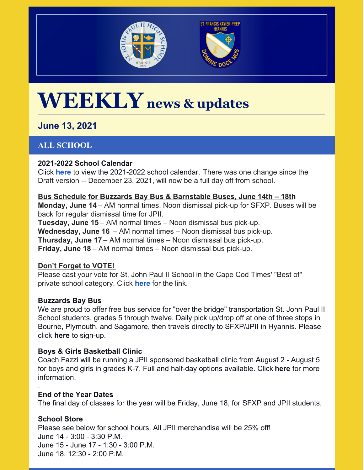



# **WEEKLY news & updates**

# **June 13, 2021**

# **ALL SCHOOL**

## **2021-2022 School Calendar**

Click **[here](https://jpiihyannis.org/wp-content/uploads/2021/06/JPII_Calendar_2122.pdf)** to view the 2021-2022 school calendar. There was one change since the Draft version -- December 23, 2021, will now be a full day off from school.

# **Bus Schedule for Buzzards Bay Bus & Barnstable Buses, June 14th – 18th**

**Monday, June 14** – AM normal times. Noon dismissal pick-up for SFXP. Buses will be back for regular dismissal time for JPII.

**Tuesday, June 15** – AM normal times – Noon dismissal bus pick-up. **Wednesday, June 16** – AM normal times – Noon dismissal bus pick-up. **Thursday, June 17** – AM normal times – Noon dismissal bus pick-up. **Friday, June 18** – AM normal times – Noon dismissal bus pick-up.

## **Don't Forget to VOTE!**

Please cast your vote for St. John Paul II School in the Cape Cod Times' "Best of" private school category. Click **[here](https://capecodtimes.gannettcontests.com/2021-Cape-Cods-Best-of-the-Best/gallery/?group=388253)** for the link.

## **Buzzards Bay Bus**

We are proud to offer free bus service for "over the bridge" transportation St. John Paul II School students, grades 5 through twelve. Daily pick up/drop off at one of three stops in Bourne, Plymouth, and Sagamore, then travels directly to SFXP/JPII in Hyannis. Please click **[here](https://docs.google.com/forms/d/1vRB33et70kojmoexJHrgsefQLpaIOHOIn_j8LXP0V1U/edit)** to sign-up.

## **Boys & Girls Basketball Clinic**

Coach Fazzi will be running a JPII sponsored basketball clinic from August 2 - August 5 for boys and girls in grades K-7. Full and half-day options available. Clic[k](https://pjp2hs.ejoinme.org/MyPages/BasketballClinic) **[here](https://pjp2hs.ejoinme.org/MyPages/BasketballClinic)** for more information.

## **End of the Year Dates**

The final day of classes for the year will be Friday, June 18, for SFXP and JPII students.

# **School Store**

.

Please see below for school hours. All JPII merchandise will be 25% off! June 14 - 3:00 - 3:30 P.M. June 15 - June 17 - 1:30 - 3:00 P.M. June 18, 12:30 - 2:00 P.M.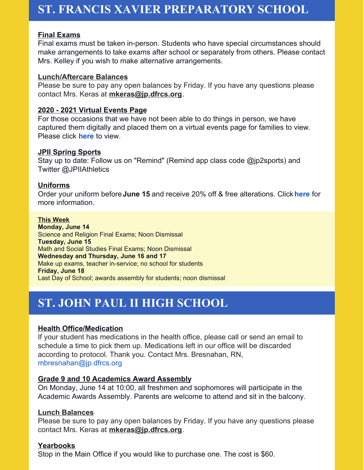# **ST. FRANCIS XAVIER PREPARATORY SCHOOL**

#### **Final Exams**

Final exams must be taken in-person. Students who have special circumstances should make arrangements to take exams after school or separately from others. Please contact Mrs. Kelley if you wish to make alternative arrangements.

#### **Lunch/Aftercare Balances**

Please be sure to pay any open balances by Friday. If you have any questions please contact Mrs. Keras at **[mkeras@jp.dfrcs.org](mailto:mkeras@jp.dfrcs.org)**.

#### **2020 - 2021 Virtual Events Page**

For those occasions that we have not been able to do things in person, we have captured them digitally and placed them on a virtual events page for families to view. Please click **[here](https://sites.google.com/view/sfxpvirtualevents2021/Home?authuser=0)** to view.

#### **JPII Spring Sports**

Stay up to date: Follow us on "Remind" (Remind app class code @jp2sports) and Twitter @JPIIAthletics

#### **Uniforms**

Order your uniform before**June 15** and receive 20% off & free alterations. Click **[here](https://jpiihyannis.org/wp-content/uploads/2021/05/PrepDivisionUniform.pdf)** for more information.

#### **This Week**

**Monday, June 14** Science and Religion Final Exams; Noon Dismissal **Tuesday, June 15** Math and Social Studies Final Exams; Noon Dismissal **Wednesday and Thursday, June 16 and 17** Make up exams, teacher in-service; no school for students **Friday, June 18** Last Day of School; awards assembly for students; noon dismissal

# **ST. JOHN PAUL II HIGH SCHOOL**

#### **Health Office/Medication**

If your student has medications in the health office, please call or send an email to schedule a time to pick them up. Medications left in our office will be discarded according to protocol. Thank you. Contact Mrs. Bresnahan, RN, mbresnahan@jp.dfrcs.org

#### **Grade 9 and 10 Academics Award Assembly**

On Monday, June 14 at 10:00, all freshmen and sophomores will participate in the Academic Awards Assembly. Parents are welcome to attend and sit in the balcony.

#### **Lunch Balances**

Please be sure to pay any open balances by Friday. If you have any questions please contact Mrs. Keras at **[mkeras@jp.dfrcs.org](mailto:mkeras@jp.dfrcs.org)**.

#### **Yearbooks**

Stop in the Main Office if you would like to purchase one. The cost is \$60.